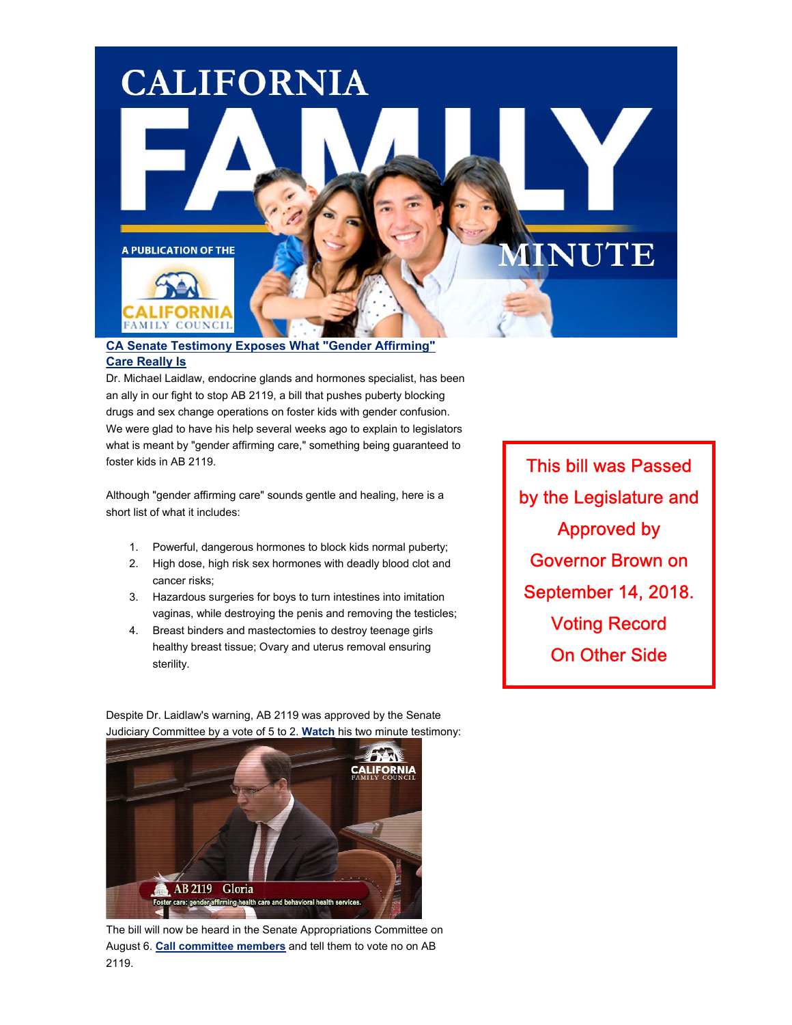

#### **[CA Senate Testimony Exposes What "Gender Affirming"](https://californiafamilyalliance.us13.list-manage.com/track/click?u=1d4d1f6b89e49266ccc86713e&id=9e89894a9c&e=8d69664805)  [Care Really Is](https://californiafamilyalliance.us13.list-manage.com/track/click?u=1d4d1f6b89e49266ccc86713e&id=9e89894a9c&e=8d69664805)**

Dr. Michael Laidlaw, endocrine glands and hormones specialist, has been an ally in our fight to stop AB 2119, a bill that pushes puberty blocking drugs and sex change operations on foster kids with gender confusion. We were glad to have his help several weeks ago to explain to legislators what is meant by "gender affirming care," something being guaranteed to foster kids in AB 2119.

Although "gender affirming care" sounds gentle and healing, here is a short list of what it includes:

- 1. Powerful, dangerous hormones to block kids normal puberty;
- 2. High dose, high risk sex hormones with deadly blood clot and cancer risks;
- 3. Hazardous surgeries for boys to turn intestines into imitation vaginas, while destroying the penis and removing the testicles;
- 4. Breast binders and mastectomies to destroy teenage girls healthy breast tissue; Ovary and uterus removal ensuring sterility.

This bill was Passed Approved by by the Legislature and Governor Brown on September 14, 2018. Voting Record On Other Side

Despite Dr. Laidlaw's warning, AB 2119 was approved by the Senate Judiciary Committee by a vote of 5 to 2. **[Watch](https://californiafamilyalliance.us13.list-manage.com/track/click?u=1d4d1f6b89e49266ccc86713e&id=0c25a2c246&e=8d69664805)** his two minute testimony:



The bill will now be heard in the Senate Appropriations Committee on August 6. **[Call committee members](https://californiafamilyalliance.us13.list-manage.com/track/click?u=1d4d1f6b89e49266ccc86713e&id=dcf0381ab8&e=8d69664805)** and tell them to vote no on AB 2119.